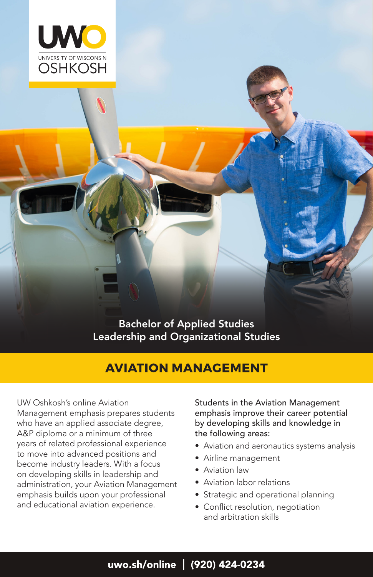

Bachelor of Applied Studies Leadership and Organizational Studies

# **AVIATION MANAGEMENT**

UW Oshkosh's online Aviation Management emphasis prepares students who have an applied associate degree, A&P diploma or a minimum of three years of related professional experience to move into advanced positions and become industry leaders. With a focus on developing skills in leadership and administration, your Aviation Management emphasis builds upon your professional and educational aviation experience.

Students in the Aviation Management emphasis improve their career potential by developing skills and knowledge in the following areas:

- Aviation and aeronautics systems analysis
- Airline management
- Aviation law
- Aviation labor relations
- Strategic and operational planning
- Conflict resolution, negotiation and arbitration skills

## uwo.sh/online | (920) 424-0234